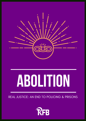

# **ABOLITION**

#### REAL JUSTICE: AN END TO POLICING & PRISONS

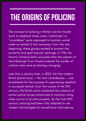## **THE ORIGINS OF POLICING**

The concept of policing in Britain can be traced back to medieval times, when " watchmen " or " constables " were organised to maintain social order on behalf of the monarchy. From the very beginning, these groups existed to protect the powerful and quell popular uprisings: in 1736, the historic Porteous Riots occurred after the captain of the Edinburgh Town Guard ordered the murder of civilians who were protesting a hanging.

Less than a century later, in 1822, the first modern British police force — the Irish Constabulary — was established for the purpose of suppressing rebellion in occupied Ireland. Over the course of the 19th century, the British state mandated the creation of similar police forces nationwide to maintain ruling class control of private property. By the mid-20th century, policing had been fully adapted to use modern technologies for surveillance and capture.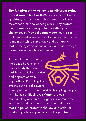The function of the police is no different today than it was in 1736 or 1822. Cops serve to break up strikes, protests, and other forms of political resistance from the working class. They protect the oppressive status quo from anything that challenges it. They deliberately carry out racist and gendered violence and discrimination in order to maintain white supremacy and patriarchy that is, the systems of social division that privilege those classed as white and male.

Just within the past year, the police have shown more clearly than ever that their job is to terrorise and oppress certain populations. Patrolling the streets during lockdown to

arrest people for sitting outside, trampling people with horses at Black Lives Matter protests, manhandling women at a vigil for a woman who was murdered by a cop — the "law and order " that the police protect is the law and order of patriarchy, white supremacy, and capitalism.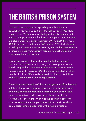## **THE BRITISH PRISON SYSTEM**

The British prison system is expanding rapidly: the prison population has risen by 82% over the last 30 years (1988-2018). England and Wales now have the highest imprisonment rate in western Europe, while Scotland takes third place. British prisons are also increasingly dangerous: from 2016 to 2017, there were 40,000 incidents of self-harm, 300 deaths (25% of which were suicides), 325 reported sexual assaults, and 70 deaths a month in or around release from custody. Medical neglect and solitary confinement are also routine.

Oppressed groups — those who face the highest rates of discrimination, violence and poverty outside of prisons — are heavily targeted by the carceral state and are therefore overrepresented within prisons. 26% of prisoners are Black or other people of colour, 29% have learning difficulties or disabilities, and LGBT people are also over-represented.

The violence and cruelty of the prison system is often blamed solely on the private corporations who directly profit from criminalising and incarcerating marginalised people, and prisons are indeed built into corporate supply chains. However, it is the state which has the exclusive power to criminalise and imprison people, and it is the state which commissions and collaborates with private investors.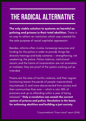#### **THE RADICAL ALTERNATIVE**

The only viable solution to systems as harmful as policing and prisons is their total abolition. There is no way to reform an institution which was created for the sole purpose of racial capitalist oppression.

Besides, reforms often involve increasing resources and funding for the police in order to provide things like diversity trainings and body cameras — strengthening, not weakening, the police. Police violence, institutional racism, and the harms of incarceration are not anomalies or mistakes: they are proof of the system working just as intended.

Prisons are the sites of horrific violence, and their regular functioning leaves thousands of people impoverished, traumatised, ill, and more disconnected from society and their communities than ever — which is why 48% of prisoners end up re-offending within a year of being released.\* Only a revolution can smash the current system of prisons and police. Revolution is the basis for achieving abolition and building a just society.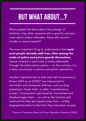### **BUT WHAT ABOUT...?**

When people first learn about the concept of abolition, they often respond with a specific concern: what about violent offenders, those who commit murder or sexual assault?

The most important thing to understand is that **most** such people already walk free, often among the ranks of police and prison guards themselves. Sexual violence in particular is rarely addressed through the state justice system — on the contrary, it is a daily occurrence in prisons and police operations.

Another important fact is that over half of prisoners in Britain (54% as of 2020)\* are imprisoned for nonviolent and nonsexual offenses, such as drug possession, fraud, theft, or other " miscellaneous crimes." Incarceration permanently traumatises and disadvantages them — as well as the families and communities they are ripped away from — totally disproportionately to the harm they may have caused.

\*House of Commons Library UK Prison Population Statistics (2020)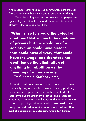It is absolutely vital to keep our communities safe from all forms of violence, but police and prisons are not doing that. More often, they perpetrate violence and perpetuate cycles of generational harm and disenfranchisement in already-vulnerable communities.

"What is, so to speak, the object of abolition? Not so much the abolition of prisons but the abolition of a society that could have prisons, that could have slavery, that could have the wage, and therefore not abolition as the elimination of anything but abolition as the founding of a new society. " — Fred Moten & Stefano Harney

We need to build our own radical alternatives to policing: community programmes that prevent crime by providing resources and support, survivor-centred methods of restorative and transformative justice, and grassroots structures to combat the collective and individual trauma caused by policing and incarceration. We need to end the tyranny of police and prisons once and for all, as part of building a revolutionary future for Britain.